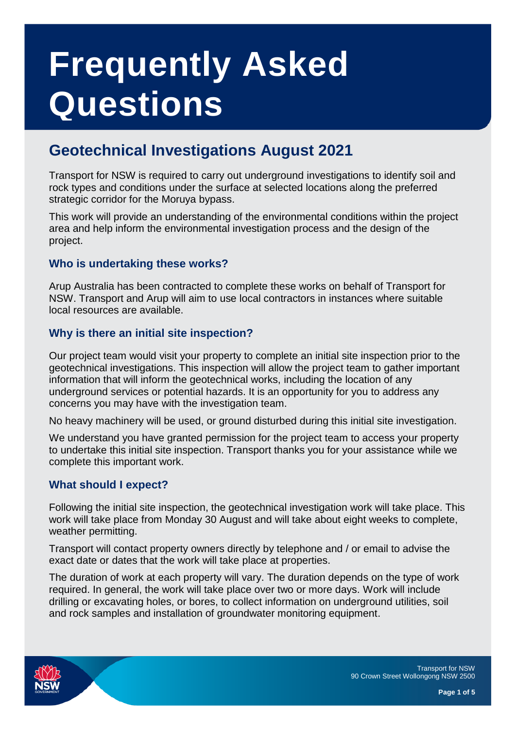# **Frequently Asked Questions**

# <span id="page-0-0"></span>**Geotechnical Investigations August 2021**

Transport for NSW is required to carry out underground investigations to identify soil and rock types and conditions under the surface at selected locations along the preferred strategic corridor for the Moruya bypass.

This work will provide an understanding of the environmental conditions within the project area and help inform the environmental investigation process and the design of the project.

# **Who is undertaking these works?**

Arup Australia has been contracted to complete these works on behalf of Transport for NSW. Transport and Arup will aim to use local contractors in instances where suitable local resources are available.

# **Why is there an initial site inspection?**

Our project team would visit your property to complete an initial site inspection prior to the geotechnical investigations. This inspection will allow the project team to gather important information that will inform the geotechnical works, including the location of any underground services or potential hazards. It is an opportunity for you to address any concerns you may have with the investigation team.

No heavy machinery will be used, or ground disturbed during this initial site investigation.

We understand you have granted permission for the project team to access your property to undertake this initial site inspection. Transport thanks you for your assistance while we complete this important work.

# **What should I expect?**

Following the initial site inspection, the geotechnical investigation work will take place. This work will take place from Monday 30 August and will take about eight weeks to complete, weather permitting.

Transport will contact property owners directly by telephone and / or email to advise the exact date or dates that the work will take place at properties.

The duration of work at each property will vary. The duration depends on the type of work required. In general, the work will take place over two or more days. Work will include drilling or excavating holes, or bores, to collect information on underground utilities, soil and rock samples and installation of groundwater monitoring equipment.

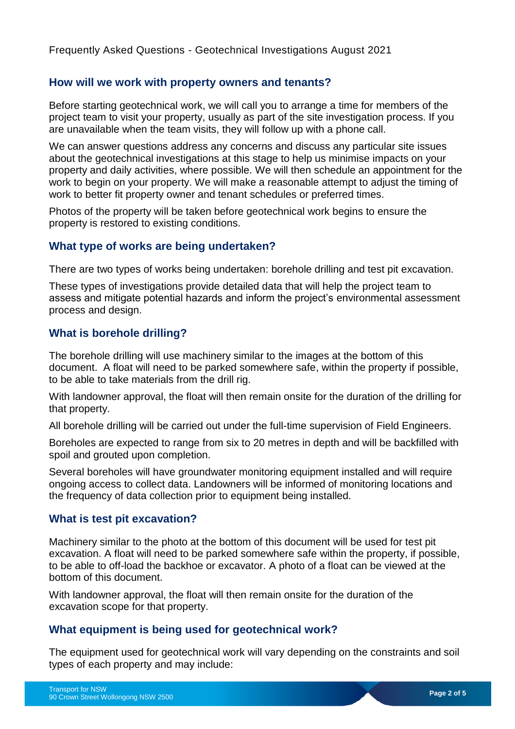#### **How will we work with property owners and tenants?**

Before starting geotechnical work, we will call you to arrange a time for members of the project team to visit your property, usually as part of the site investigation process. If you are unavailable when the team visits, they will follow up with a phone call.

We can answer questions address any concerns and discuss any particular site issues about the geotechnical investigations at this stage to help us minimise impacts on your property and daily activities, where possible. We will then schedule an appointment for the work to begin on your property. We will make a reasonable attempt to adjust the timing of work to better fit property owner and tenant schedules or preferred times.

Photos of the property will be taken before geotechnical work begins to ensure the property is restored to existing conditions.

#### **What type of works are being undertaken?**

There are two types of works being undertaken: borehole drilling and test pit excavation.

These types of investigations provide detailed data that will help the project team to assess and mitigate potential hazards and inform the project's environmental assessment process and design.

#### **What is borehole drilling?**

The borehole drilling will use machinery similar to the images at the bottom of this document. A float will need to be parked somewhere safe, within the property if possible, to be able to take materials from the drill rig.

With landowner approval, the float will then remain onsite for the duration of the drilling for that property.

All borehole drilling will be carried out under the full-time supervision of Field Engineers.

Boreholes are expected to range from six to 20 metres in depth and will be backfilled with spoil and grouted upon completion.

Several boreholes will have groundwater monitoring equipment installed and will require ongoing access to collect data. Landowners will be informed of monitoring locations and the frequency of data collection prior to equipment being installed.

#### **What is test pit excavation?**

Machinery similar to the photo at the bottom of this document will be used for test pit excavation. A float will need to be parked somewhere safe within the property, if possible, to be able to off-load the backhoe or excavator. A photo of a float can be viewed at the bottom of this document.

With landowner approval, the float will then remain onsite for the duration of the excavation scope for that property.

#### **What equipment is being used for geotechnical work?**

The equipment used for geotechnical work will vary depending on the constraints and soil types of each property and may include: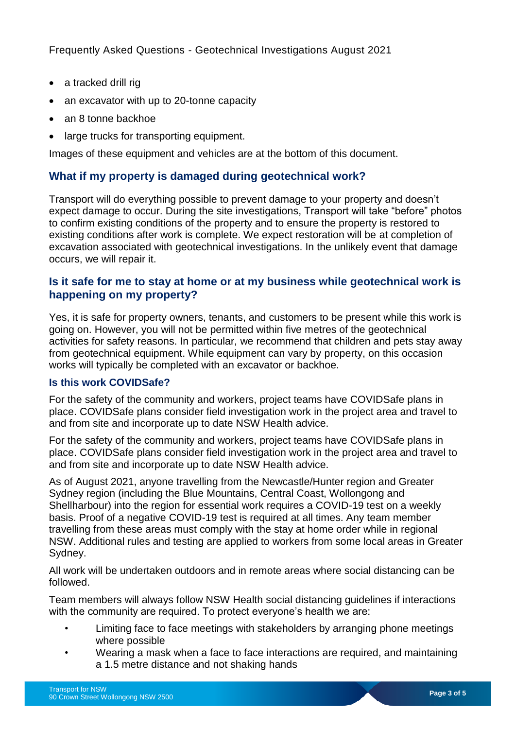- a tracked drill rig
- an excavator with up to 20-tonne capacity
- an 8 tonne backhoe
- large trucks for transporting equipment.

Images of these equipment and vehicles are at the bottom of this document.

# **What if my property is damaged during geotechnical work?**

Transport will do everything possible to prevent damage to your property and doesn't expect damage to occur. During the site investigations, Transport will take "before" photos to confirm existing conditions of the property and to ensure the property is restored to existing conditions after work is complete. We expect restoration will be at completion of excavation associated with geotechnical investigations. In the unlikely event that damage occurs, we will repair it.

# **Is it safe for me to stay at home or at my business while geotechnical work is happening on my property?**

Yes, it is safe for property owners, tenants, and customers to be present while this work is going on. However, you will not be permitted within five metres of the geotechnical activities for safety reasons. In particular, we recommend that children and pets stay away from geotechnical equipment. While equipment can vary by property, on this occasion works will typically be completed with an excavator or backhoe.

#### **Is this work COVIDSafe?**

For the safety of the community and workers, project teams have COVIDSafe plans in place. COVIDSafe plans consider field investigation work in the project area and travel to and from site and incorporate up to date NSW Health advice.

For the safety of the community and workers, project teams have COVIDSafe plans in place. COVIDSafe plans consider field investigation work in the project area and travel to and from site and incorporate up to date NSW Health advice.

As of August 2021, anyone travelling from the Newcastle/Hunter region and Greater Sydney region (including the Blue Mountains, Central Coast, Wollongong and Shellharbour) into the region for essential work requires a COVID-19 test on a weekly basis. Proof of a negative COVID-19 test is required at all times. Any team member travelling from these areas must comply with the stay at home order while in regional NSW. Additional rules and testing are applied to workers from some local areas in Greater Sydney.

All work will be undertaken outdoors and in remote areas where social distancing can be followed.

Team members will always follow NSW Health social distancing guidelines if interactions with the community are required. To protect everyone's health we are:

- Limiting face to face meetings with stakeholders by arranging phone meetings where possible
- Wearing a mask when a face to face interactions are required, and maintaining a 1.5 metre distance and not shaking hands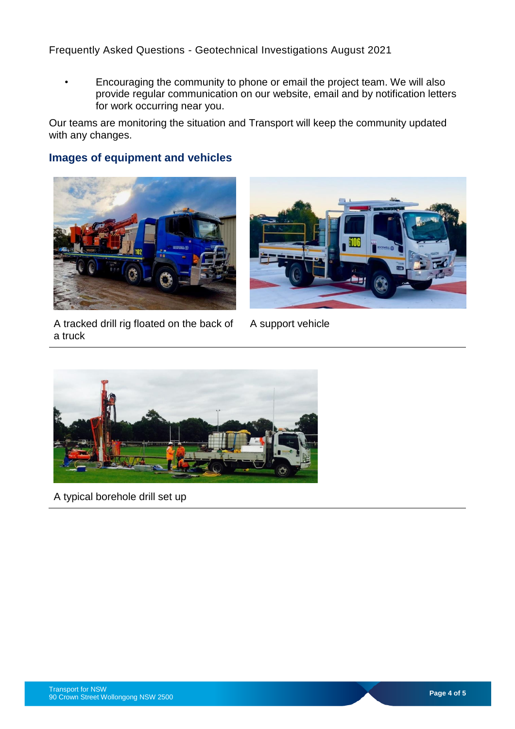Frequently Asked Questions - [Geotechnical Investigations August 2021](#page-0-0)

• Encouraging the community to phone or email the project team. We will also provide regular communication on our website, email and by notification letters for work occurring near you.

Our teams are monitoring the situation and Transport will keep the community updated with any changes.

# **Images of equipment and vehicles**





A tracked drill rig floated on the back of a truck

A support vehicle



A typical borehole drill set up